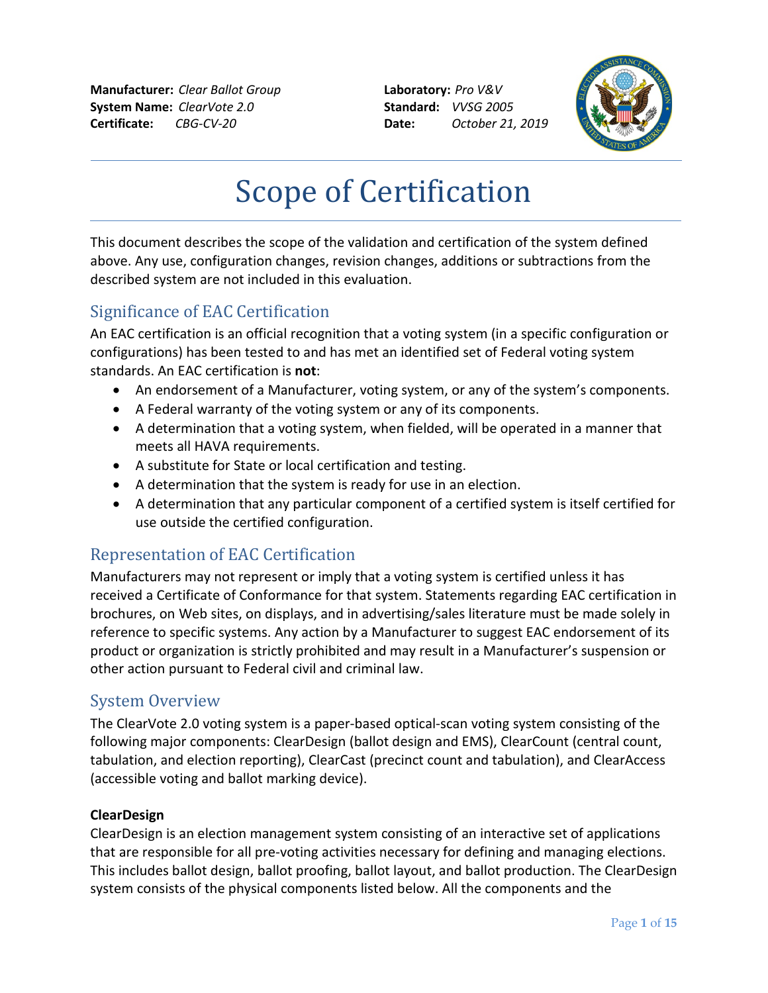**Manufacturer:** *Clear Ballot Group* **Laboratory:** *Pro V&V* **System Name:** *ClearVote 2.0* **Standard:** *VVSG 2005* **Certificate:** *CBG-CV-20* **Date:** *October 21, 2019*



# Scope of Certification

This document describes the scope of the validation and certification of the system defined above. Any use, configuration changes, revision changes, additions or subtractions from the described system are not included in this evaluation.

## Significance of EAC Certification

An EAC certification is an official recognition that a voting system (in a specific configuration or configurations) has been tested to and has met an identified set of Federal voting system standards. An EAC certification is **not**:

- An endorsement of a Manufacturer, voting system, or any of the system's components.
- A Federal warranty of the voting system or any of its components.
- A determination that a voting system, when fielded, will be operated in a manner that meets all HAVA requirements.
- A substitute for State or local certification and testing.
- A determination that the system is ready for use in an election.
- A determination that any particular component of a certified system is itself certified for use outside the certified configuration.

## Representation of EAC Certification

Manufacturers may not represent or imply that a voting system is certified unless it has received a Certificate of Conformance for that system. Statements regarding EAC certification in brochures, on Web sites, on displays, and in advertising/sales literature must be made solely in reference to specific systems. Any action by a Manufacturer to suggest EAC endorsement of its product or organization is strictly prohibited and may result in a Manufacturer's suspension or other action pursuant to Federal civil and criminal law.

#### System Overview

The ClearVote 2.0 voting system is a paper-based optical-scan voting system consisting of the following major components: ClearDesign (ballot design and EMS), ClearCount (central count, tabulation, and election reporting), ClearCast (precinct count and tabulation), and ClearAccess (accessible voting and ballot marking device).

#### **ClearDesign**

ClearDesign is an election management system consisting of an interactive set of applications that are responsible for all pre-voting activities necessary for defining and managing elections. This includes ballot design, ballot proofing, ballot layout, and ballot production. The ClearDesign system consists of the physical components listed below. All the components and the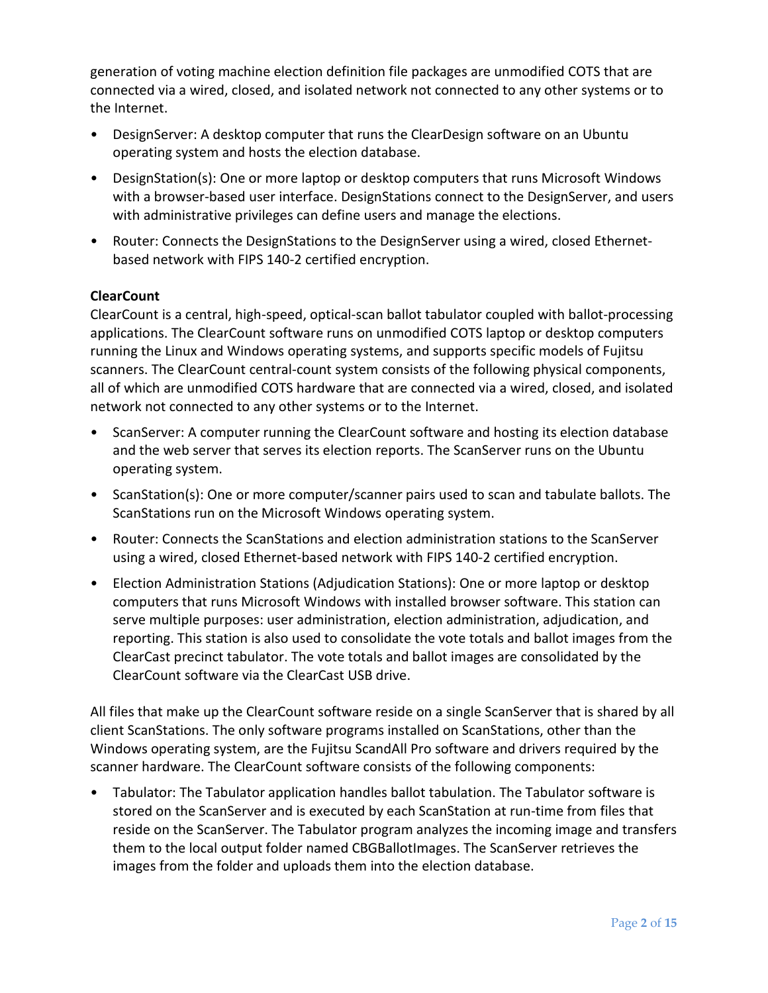generation of voting machine election definition file packages are unmodified COTS that are connected via a wired, closed, and isolated network not connected to any other systems or to the Internet.

- DesignServer: A desktop computer that runs the ClearDesign software on an Ubuntu operating system and hosts the election database.
- DesignStation(s): One or more laptop or desktop computers that runs Microsoft Windows with a browser-based user interface. DesignStations connect to the DesignServer, and users with administrative privileges can define users and manage the elections.
- Router: Connects the DesignStations to the DesignServer using a wired, closed Ethernetbased network with FIPS 140-2 certified encryption.

#### **ClearCount**

ClearCount is a central, high-speed, optical-scan ballot tabulator coupled with ballot-processing applications. The ClearCount software runs on unmodified COTS laptop or desktop computers running the Linux and Windows operating systems, and supports specific models of Fujitsu scanners. The ClearCount central-count system consists of the following physical components, all of which are unmodified COTS hardware that are connected via a wired, closed, and isolated network not connected to any other systems or to the Internet.

- ScanServer: A computer running the ClearCount software and hosting its election database and the web server that serves its election reports. The ScanServer runs on the Ubuntu operating system.
- ScanStation(s): One or more computer/scanner pairs used to scan and tabulate ballots. The ScanStations run on the Microsoft Windows operating system.
- Router: Connects the ScanStations and election administration stations to the ScanServer using a wired, closed Ethernet-based network with FIPS 140-2 certified encryption.
- Election Administration Stations (Adjudication Stations): One or more laptop or desktop computers that runs Microsoft Windows with installed browser software. This station can serve multiple purposes: user administration, election administration, adjudication, and reporting. This station is also used to consolidate the vote totals and ballot images from the ClearCast precinct tabulator. The vote totals and ballot images are consolidated by the ClearCount software via the ClearCast USB drive.

All files that make up the ClearCount software reside on a single ScanServer that is shared by all client ScanStations. The only software programs installed on ScanStations, other than the Windows operating system, are the Fujitsu ScandAll Pro software and drivers required by the scanner hardware. The ClearCount software consists of the following components:

• Tabulator: The Tabulator application handles ballot tabulation. The Tabulator software is stored on the ScanServer and is executed by each ScanStation at run-time from files that reside on the ScanServer. The Tabulator program analyzes the incoming image and transfers them to the local output folder named CBGBallotImages. The ScanServer retrieves the images from the folder and uploads them into the election database.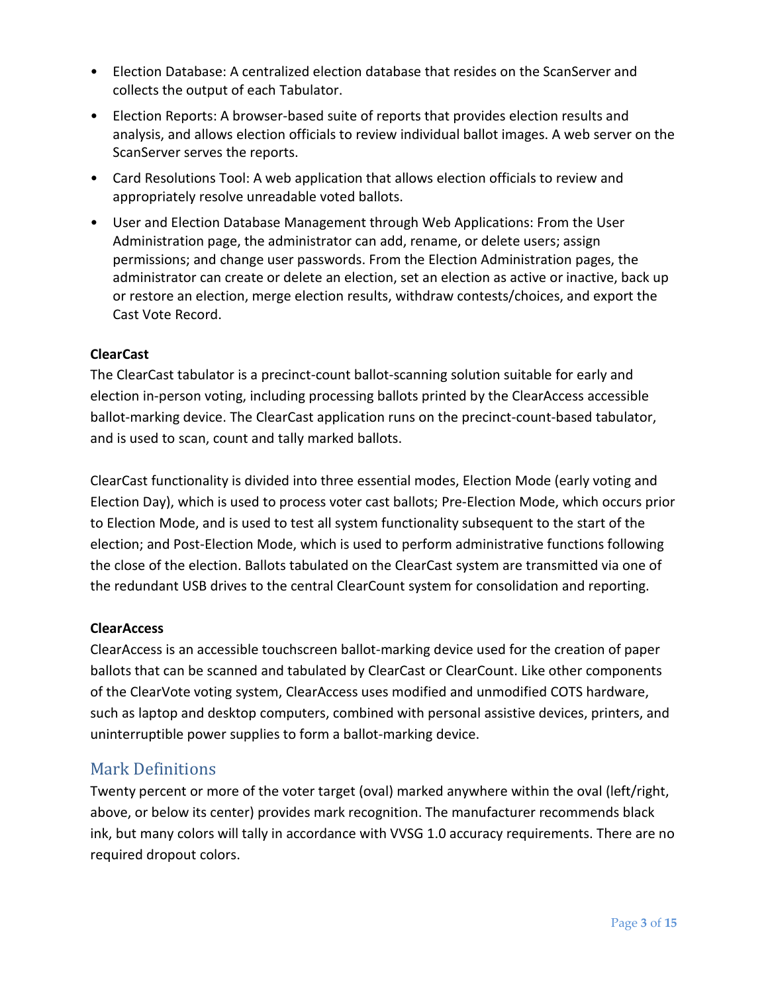- Election Database: A centralized election database that resides on the ScanServer and collects the output of each Tabulator.
- Election Reports: A browser-based suite of reports that provides election results and analysis, and allows election officials to review individual ballot images. A web server on the ScanServer serves the reports.
- Card Resolutions Tool: A web application that allows election officials to review and appropriately resolve unreadable voted ballots.
- User and Election Database Management through Web Applications: From the User Administration page, the administrator can add, rename, or delete users; assign permissions; and change user passwords. From the Election Administration pages, the administrator can create or delete an election, set an election as active or inactive, back up or restore an election, merge election results, withdraw contests/choices, and export the Cast Vote Record.

#### **ClearCast**

The ClearCast tabulator is a precinct-count ballot-scanning solution suitable for early and election in-person voting, including processing ballots printed by the ClearAccess accessible ballot-marking device. The ClearCast application runs on the precinct-count-based tabulator, and is used to scan, count and tally marked ballots.

ClearCast functionality is divided into three essential modes, Election Mode (early voting and Election Day), which is used to process voter cast ballots; Pre-Election Mode, which occurs prior to Election Mode, and is used to test all system functionality subsequent to the start of the election; and Post-Election Mode, which is used to perform administrative functions following the close of the election. Ballots tabulated on the ClearCast system are transmitted via one of the redundant USB drives to the central ClearCount system for consolidation and reporting.

#### **ClearAccess**

ClearAccess is an accessible touchscreen ballot-marking device used for the creation of paper ballots that can be scanned and tabulated by ClearCast or ClearCount. Like other components of the ClearVote voting system, ClearAccess uses modified and unmodified COTS hardware, such as laptop and desktop computers, combined with personal assistive devices, printers, and uninterruptible power supplies to form a ballot-marking device.

#### Mark Definitions

Twenty percent or more of the voter target (oval) marked anywhere within the oval (left/right, above, or below its center) provides mark recognition. The manufacturer recommends black ink, but many colors will tally in accordance with VVSG 1.0 accuracy requirements. There are no required dropout colors.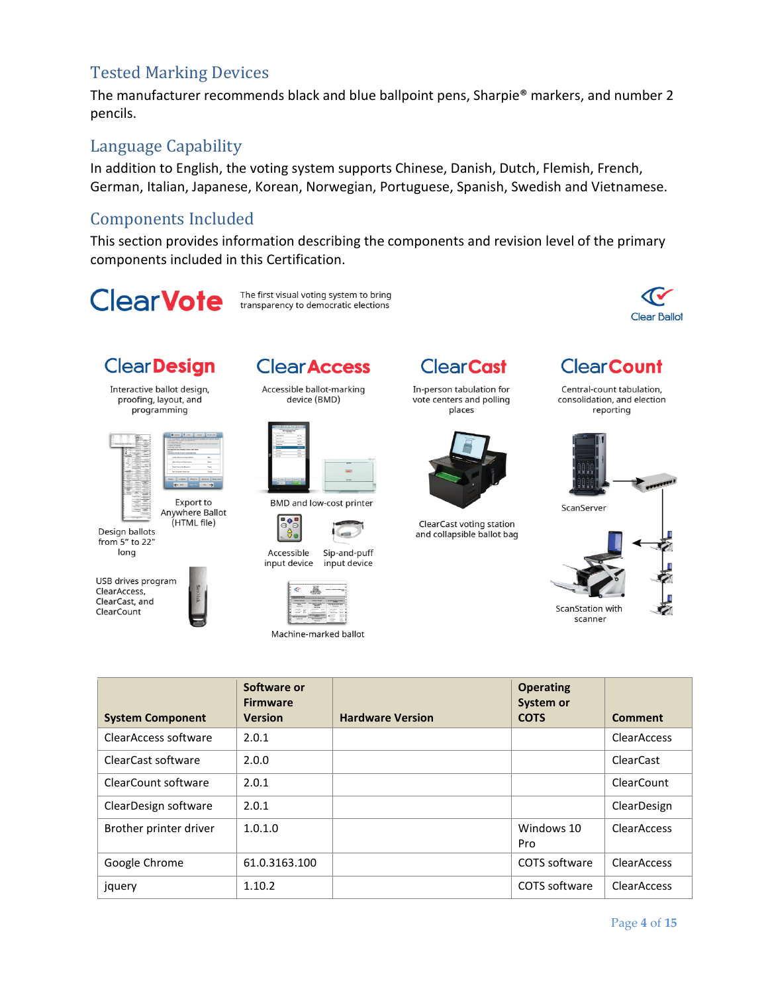### Tested Marking Devices

The manufacturer recommends black and blue ballpoint pens, Sharpie® markers, and number 2 pencils.

#### Language Capability

In addition to English, the voting system supports Chinese, Danish, Dutch, Flemish, French, German, Italian, Japanese, Korean, Norwegian, Portuguese, Spanish, Swedish and Vietnamese.

## Components Included

This section provides information describing the components and revision level of the primary components included in this Certification.

**ClearVote** 





# **ClearDesign**

Interactive ballot design,<br>proofing, layout, and programming



Export to Anywhere Ballot (HTML file)

Design ballots from 5" to 22" long

USB drives program ClearAccess, ClearCast, and ClearCount



**Clear Access** 

Accessible ballot-marking device (BMD)



**BMD and low-cost printer** 







Machine-marked ballot

**ClearCast** 

In-person tabulation for vote centers and polling places



ClearCast voting station and collapsible ballot bag



Central-count tabulation, consolidation, and election reporting



|                         | Software or<br><b>Firmware</b> |                         | <b>Operating</b><br>System or |                    |
|-------------------------|--------------------------------|-------------------------|-------------------------------|--------------------|
| <b>System Component</b> | <b>Version</b>                 | <b>Hardware Version</b> | <b>COTS</b>                   | <b>Comment</b>     |
| ClearAccess software    | 2.0.1                          |                         |                               | <b>ClearAccess</b> |
| ClearCast software      | 2.0.0                          |                         |                               | <b>ClearCast</b>   |
| ClearCount software     | 2.0.1                          |                         |                               | ClearCount         |
| ClearDesign software    | 2.0.1                          |                         |                               | ClearDesign        |
| Brother printer driver  | 1.0.1.0                        |                         | Windows 10<br>Pro             | <b>ClearAccess</b> |
| Google Chrome           | 61.0.3163.100                  |                         | COTS software                 | <b>ClearAccess</b> |
| jquery                  | 1.10.2                         |                         | COTS software                 | <b>ClearAccess</b> |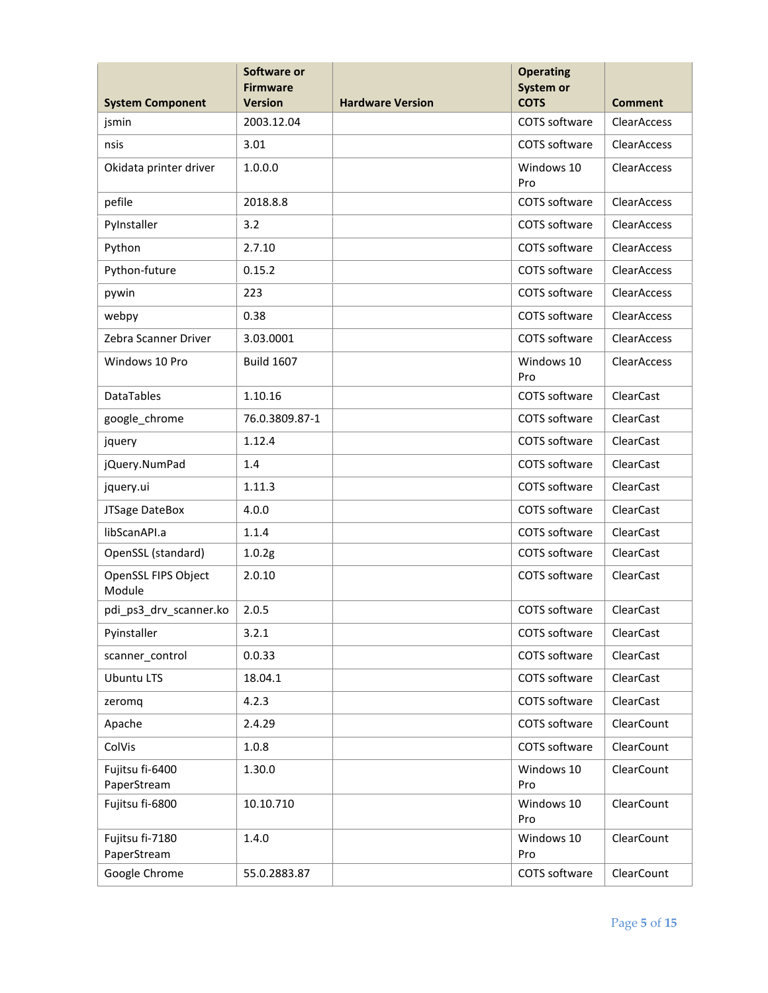|                                  | Software or<br><b>Firmware</b><br><b>Version</b> | <b>Operating</b><br>System or<br><b>COTS</b> |                   | <b>Comment</b>     |
|----------------------------------|--------------------------------------------------|----------------------------------------------|-------------------|--------------------|
| <b>System Component</b><br>jsmin | 2003.12.04                                       | <b>Hardware Version</b>                      | COTS software     | <b>ClearAccess</b> |
|                                  |                                                  |                                              |                   | <b>ClearAccess</b> |
| nsis                             | 3.01                                             |                                              | COTS software     |                    |
| Okidata printer driver           | 1.0.0.0                                          |                                              | Windows 10<br>Pro | ClearAccess        |
| pefile                           | 2018.8.8                                         |                                              | COTS software     | ClearAccess        |
| PyInstaller                      | 3.2                                              |                                              | COTS software     | <b>ClearAccess</b> |
| Python                           | 2.7.10                                           |                                              | COTS software     | <b>ClearAccess</b> |
| Python-future                    | 0.15.2                                           |                                              | COTS software     | ClearAccess        |
| pywin                            | 223                                              |                                              | COTS software     | ClearAccess        |
| webpy                            | 0.38                                             |                                              | COTS software     | ClearAccess        |
| Zebra Scanner Driver             | 3.03.0001                                        |                                              | COTS software     | ClearAccess        |
| Windows 10 Pro                   | <b>Build 1607</b>                                |                                              | Windows 10<br>Pro | <b>ClearAccess</b> |
| DataTables                       | 1.10.16                                          |                                              | COTS software     | <b>ClearCast</b>   |
| google_chrome                    | 76.0.3809.87-1                                   |                                              | COTS software     | ClearCast          |
| jquery                           | 1.12.4                                           |                                              | COTS software     | ClearCast          |
| jQuery.NumPad                    | 1.4                                              |                                              | COTS software     | ClearCast          |
| jquery.ui                        | 1.11.3                                           |                                              | COTS software     | ClearCast          |
| JTSage DateBox                   | 4.0.0                                            |                                              | COTS software     | <b>ClearCast</b>   |
| libScanAPI.a                     | 1.1.4                                            |                                              | COTS software     | ClearCast          |
| OpenSSL (standard)               | 1.0.2g                                           |                                              | COTS software     | ClearCast          |
| OpenSSL FIPS Object<br>Module    | 2.0.10                                           |                                              | COTS software     | ClearCast          |
| pdi ps3 drv scanner.ko           | 2.0.5                                            |                                              | COTS software     | ClearCast          |
| Pyinstaller                      | 3.2.1                                            |                                              | COTS software     | ClearCast          |
| scanner_control                  | 0.0.33                                           |                                              | COTS software     | ClearCast          |
| <b>Ubuntu LTS</b>                | 18.04.1                                          |                                              | COTS software     | ClearCast          |
| zeromq                           | 4.2.3                                            |                                              | COTS software     | <b>ClearCast</b>   |
| Apache                           | 2.4.29                                           |                                              | COTS software     | ClearCount         |
| ColVis                           | 1.0.8                                            |                                              | COTS software     | ClearCount         |
| Fujitsu fi-6400<br>PaperStream   | 1.30.0                                           |                                              | Windows 10<br>Pro | ClearCount         |
| Fujitsu fi-6800                  | 10.10.710                                        |                                              | Windows 10<br>Pro | ClearCount         |
| Fujitsu fi-7180<br>PaperStream   | 1.4.0                                            |                                              | Windows 10<br>Pro | ClearCount         |
| Google Chrome                    | 55.0.2883.87                                     |                                              | COTS software     | ClearCount         |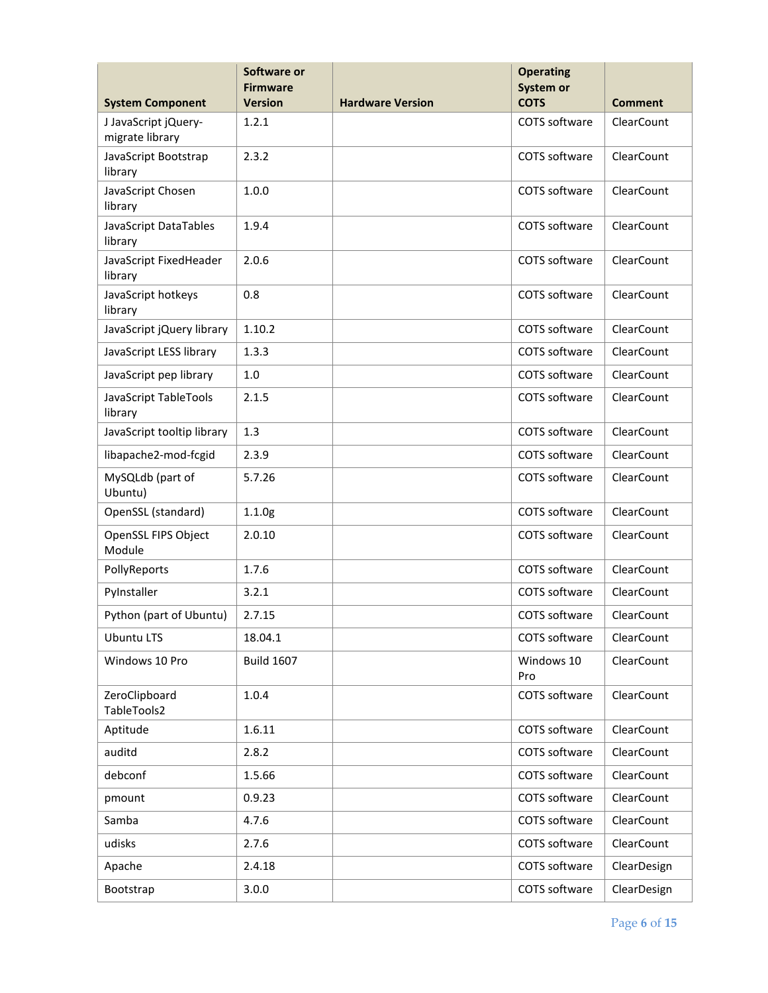|                                         | Software or<br><b>Firmware</b> |                         | <b>Operating</b><br>System or |                   |
|-----------------------------------------|--------------------------------|-------------------------|-------------------------------|-------------------|
| <b>System Component</b>                 | <b>Version</b>                 | <b>Hardware Version</b> | <b>COTS</b>                   | <b>Comment</b>    |
| J JavaScript jQuery-<br>migrate library | 1.2.1                          |                         | COTS software                 | <b>ClearCount</b> |
| JavaScript Bootstrap<br>library         | 2.3.2                          |                         | COTS software                 | ClearCount        |
| JavaScript Chosen<br>library            | 1.0.0                          |                         | COTS software                 | ClearCount        |
| JavaScript DataTables<br>library        | 1.9.4                          |                         | COTS software                 | ClearCount        |
| JavaScript FixedHeader<br>library       | 2.0.6                          |                         | COTS software                 | ClearCount        |
| JavaScript hotkeys<br>library           | 0.8                            |                         | COTS software                 | ClearCount        |
| JavaScript jQuery library               | 1.10.2                         |                         | COTS software                 | ClearCount        |
| JavaScript LESS library                 | 1.3.3                          |                         | COTS software                 | ClearCount        |
| JavaScript pep library                  | $1.0$                          |                         | COTS software                 | ClearCount        |
| JavaScript TableTools<br>library        | 2.1.5                          |                         | COTS software                 | ClearCount        |
| JavaScript tooltip library              | 1.3                            |                         | COTS software                 | ClearCount        |
| libapache2-mod-fcgid                    | 2.3.9                          |                         | COTS software                 | ClearCount        |
| MySQLdb (part of<br>Ubuntu)             | 5.7.26                         |                         | COTS software                 | ClearCount        |
| OpenSSL (standard)                      | 1.1.0g                         |                         | COTS software                 | ClearCount        |
| OpenSSL FIPS Object<br>Module           | 2.0.10                         |                         | COTS software                 | ClearCount        |
| PollyReports                            | 1.7.6                          |                         | COTS software                 | ClearCount        |
| PyInstaller                             | 3.2.1                          |                         | COTS software                 | ClearCount        |
| Python (part of Ubuntu)                 | 2.7.15                         |                         | COTS software                 | ClearCount        |
| <b>Ubuntu LTS</b>                       | 18.04.1                        |                         | COTS software                 | ClearCount        |
| Windows 10 Pro                          | <b>Build 1607</b>              |                         | Windows 10<br>Pro             | ClearCount        |
| ZeroClipboard<br>TableTools2            | 1.0.4                          |                         | COTS software                 | ClearCount        |
| Aptitude                                | 1.6.11                         |                         | COTS software                 | ClearCount        |
| auditd                                  | 2.8.2                          |                         | COTS software                 | ClearCount        |
| debconf                                 | 1.5.66                         |                         | COTS software                 | ClearCount        |
| pmount                                  | 0.9.23                         |                         | COTS software                 | ClearCount        |
| Samba                                   | 4.7.6                          |                         | COTS software                 | ClearCount        |
| udisks                                  | 2.7.6                          |                         | COTS software                 | ClearCount        |
| Apache                                  | 2.4.18                         |                         | COTS software                 | ClearDesign       |
| Bootstrap                               | 3.0.0                          |                         | COTS software                 | ClearDesign       |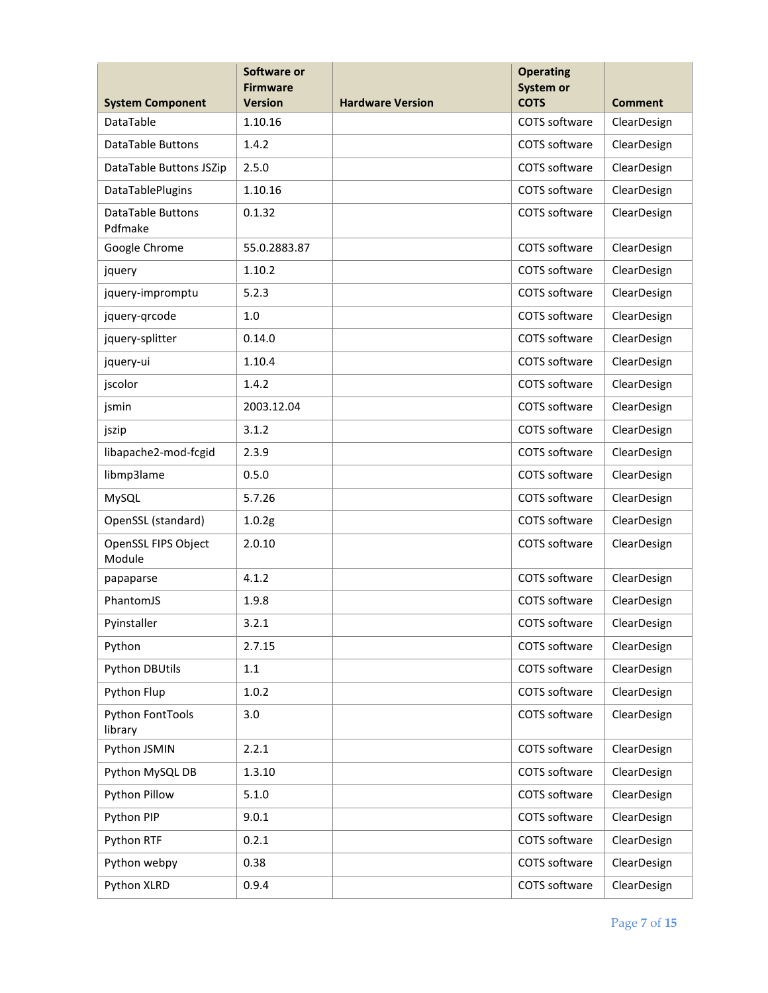| <b>System Component</b>       | Software or<br><b>Firmware</b><br><b>Version</b> | <b>Hardware Version</b> | Comment                      |             |
|-------------------------------|--------------------------------------------------|-------------------------|------------------------------|-------------|
| <b>DataTable</b>              | 1.10.16                                          |                         | <b>COTS</b><br>COTS software | ClearDesign |
| <b>DataTable Buttons</b>      | 1.4.2                                            |                         | COTS software                | ClearDesign |
| DataTable Buttons JSZip       | 2.5.0                                            |                         | COTS software                | ClearDesign |
| DataTablePlugins              | 1.10.16                                          |                         | COTS software                | ClearDesign |
| DataTable Buttons<br>Pdfmake  | 0.1.32                                           |                         | COTS software                | ClearDesign |
| Google Chrome                 | 55.0.2883.87                                     |                         | COTS software                | ClearDesign |
| jquery                        | 1.10.2                                           |                         | COTS software                | ClearDesign |
| jquery-impromptu              | 5.2.3                                            |                         | COTS software                | ClearDesign |
| jquery-grcode                 | 1.0                                              |                         | COTS software                | ClearDesign |
| jquery-splitter               | 0.14.0                                           |                         | COTS software                | ClearDesign |
| jquery-ui                     | 1.10.4                                           |                         | COTS software                | ClearDesign |
| jscolor                       | 1.4.2                                            |                         | COTS software                | ClearDesign |
| jsmin                         | 2003.12.04                                       |                         | COTS software                | ClearDesign |
| jszip                         | 3.1.2                                            |                         | COTS software                | ClearDesign |
| libapache2-mod-fcgid          | 2.3.9                                            |                         | COTS software                | ClearDesign |
| libmp3lame                    | 0.5.0                                            |                         | COTS software                | ClearDesign |
| MySQL                         | 5.7.26                                           |                         | COTS software                | ClearDesign |
| OpenSSL (standard)            | 1.0.2g                                           |                         | COTS software                | ClearDesign |
| OpenSSL FIPS Object<br>Module | 2.0.10                                           |                         | COTS software                | ClearDesign |
| papaparse                     | 4.1.2                                            |                         | COTS software                | ClearDesign |
| PhantomJS                     | 1.9.8                                            |                         | COTS software                | ClearDesign |
| Pyinstaller                   | 3.2.1                                            |                         | COTS software                | ClearDesign |
| Python                        | 2.7.15                                           |                         | COTS software                | ClearDesign |
| <b>Python DBUtils</b>         | $1.1\,$                                          |                         | COTS software                | ClearDesign |
| Python Flup                   | 1.0.2                                            |                         | COTS software                | ClearDesign |
| Python FontTools<br>library   | 3.0                                              |                         | COTS software                | ClearDesign |
| Python JSMIN                  | 2.2.1                                            |                         | COTS software                | ClearDesign |
| Python MySQL DB               | 1.3.10                                           |                         | COTS software                | ClearDesign |
| Python Pillow                 | 5.1.0                                            |                         | COTS software                | ClearDesign |
| Python PIP                    | 9.0.1                                            |                         | COTS software                | ClearDesign |
| Python RTF                    | 0.2.1                                            |                         | COTS software                | ClearDesign |
| Python webpy                  | 0.38                                             |                         | COTS software                | ClearDesign |
| Python XLRD                   | 0.9.4                                            |                         | COTS software                | ClearDesign |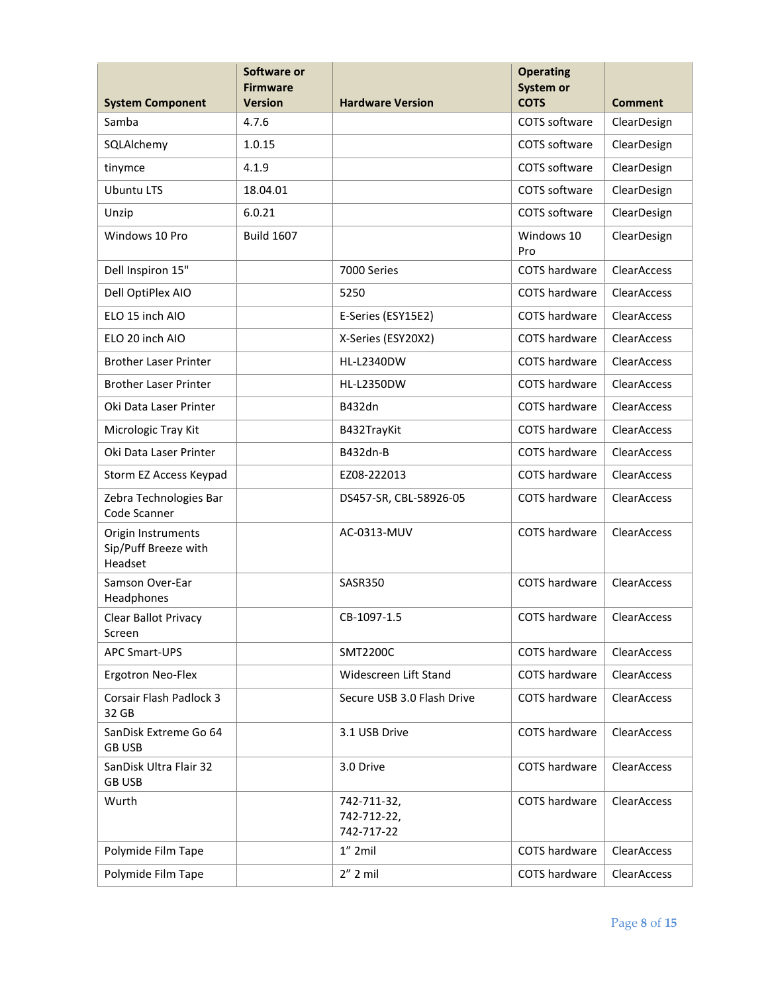|                                                       | Software or<br><b>Firmware</b><br><b>Version</b> | <b>Hardware Version</b>                  | <b>Operating</b><br>System or<br><b>COTS</b> |                        |
|-------------------------------------------------------|--------------------------------------------------|------------------------------------------|----------------------------------------------|------------------------|
| <b>System Component</b><br>Samba                      | 4.7.6                                            |                                          | COTS software                                | Comment<br>ClearDesign |
|                                                       |                                                  |                                          |                                              |                        |
| SQLAIchemy                                            | 1.0.15                                           |                                          | COTS software                                | ClearDesign            |
| tinymce                                               | 4.1.9                                            |                                          | COTS software                                | ClearDesign            |
| <b>Ubuntu LTS</b>                                     | 18.04.01                                         |                                          | COTS software                                | ClearDesign            |
| Unzip                                                 | 6.0.21                                           |                                          | COTS software                                | ClearDesign            |
| Windows 10 Pro                                        | <b>Build 1607</b>                                |                                          | Windows 10<br>Pro                            | ClearDesign            |
| Dell Inspiron 15"                                     |                                                  | 7000 Series                              | COTS hardware                                | <b>ClearAccess</b>     |
| Dell OptiPlex AIO                                     |                                                  | 5250                                     | COTS hardware                                | ClearAccess            |
| ELO 15 inch AIO                                       |                                                  | E-Series (ESY15E2)                       | COTS hardware                                | ClearAccess            |
| ELO 20 inch AIO                                       |                                                  | X-Series (ESY20X2)                       | COTS hardware                                | ClearAccess            |
| <b>Brother Laser Printer</b>                          |                                                  | <b>HL-L2340DW</b>                        | COTS hardware                                | ClearAccess            |
| <b>Brother Laser Printer</b>                          |                                                  | <b>HL-L2350DW</b>                        | <b>COTS hardware</b>                         | <b>ClearAccess</b>     |
| Oki Data Laser Printer                                |                                                  | <b>B432dn</b>                            | COTS hardware                                | <b>ClearAccess</b>     |
| Micrologic Tray Kit                                   |                                                  | B432TrayKit                              | <b>COTS hardware</b>                         | <b>ClearAccess</b>     |
| Oki Data Laser Printer                                |                                                  | B432dn-B                                 | COTS hardware                                | <b>ClearAccess</b>     |
| Storm EZ Access Keypad                                |                                                  | EZ08-222013                              | <b>COTS hardware</b>                         | <b>ClearAccess</b>     |
| Zebra Technologies Bar<br>Code Scanner                |                                                  | DS457-SR, CBL-58926-05                   | COTS hardware                                | <b>ClearAccess</b>     |
| Origin Instruments<br>Sip/Puff Breeze with<br>Headset |                                                  | AC-0313-MUV                              | COTS hardware                                | ClearAccess            |
| Samson Over-Ear<br>Headphones                         |                                                  | SASR350                                  | <b>COTS hardware</b>                         | <b>ClearAccess</b>     |
| Clear Ballot Privacy<br>Screen                        |                                                  | CB-1097-1.5                              | <b>COTS</b> hardware                         | ClearAccess            |
| APC Smart-UPS                                         |                                                  | <b>SMT2200C</b>                          | COTS hardware                                | <b>ClearAccess</b>     |
| Ergotron Neo-Flex                                     |                                                  | Widescreen Lift Stand                    | COTS hardware                                | <b>ClearAccess</b>     |
| Corsair Flash Padlock 3<br>32 GB                      |                                                  | Secure USB 3.0 Flash Drive               | COTS hardware                                | <b>ClearAccess</b>     |
| SanDisk Extreme Go 64<br><b>GB USB</b>                |                                                  | 3.1 USB Drive                            | COTS hardware                                | <b>ClearAccess</b>     |
| SanDisk Ultra Flair 32<br><b>GB USB</b>               |                                                  | 3.0 Drive                                | COTS hardware                                | <b>ClearAccess</b>     |
| Wurth                                                 |                                                  | 742-711-32,<br>742-712-22,<br>742-717-22 | COTS hardware                                | <b>ClearAccess</b>     |
| Polymide Film Tape                                    |                                                  | $1''$ 2mil                               | COTS hardware                                | <b>ClearAccess</b>     |
| Polymide Film Tape                                    |                                                  | $2''$ 2 mil                              | COTS hardware                                | ClearAccess            |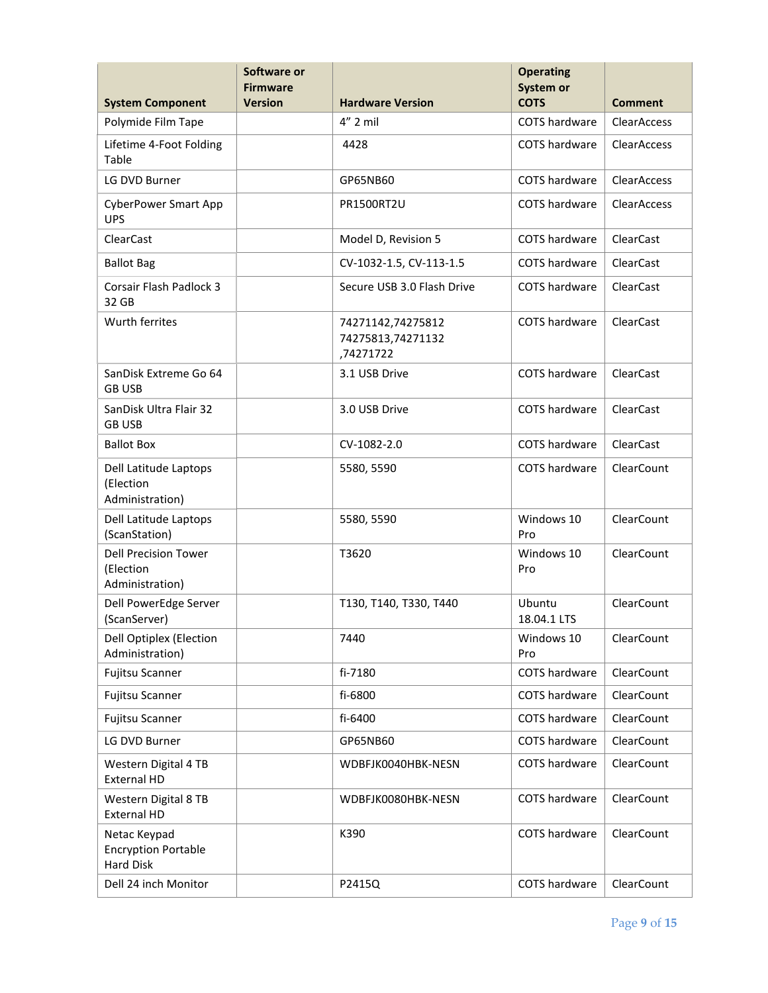|                                                                | Software or<br><b>Firmware</b> |                                                     | <b>Operating</b><br>System or |                    |
|----------------------------------------------------------------|--------------------------------|-----------------------------------------------------|-------------------------------|--------------------|
| <b>System Component</b>                                        | <b>Version</b>                 | <b>Hardware Version</b>                             | <b>COTS</b>                   | <b>Comment</b>     |
| Polymide Film Tape                                             |                                | $4''$ 2 mil                                         | <b>COTS</b> hardware          | <b>ClearAccess</b> |
| Lifetime 4-Foot Folding<br>Table                               |                                | 4428                                                | COTS hardware                 | <b>ClearAccess</b> |
| LG DVD Burner                                                  |                                | GP65NB60                                            | <b>COTS</b> hardware          | <b>ClearAccess</b> |
| <b>CyberPower Smart App</b><br><b>UPS</b>                      |                                | <b>PR1500RT2U</b>                                   | <b>COTS</b> hardware          | <b>ClearAccess</b> |
| ClearCast                                                      |                                | Model D, Revision 5                                 | COTS hardware                 | ClearCast          |
| <b>Ballot Bag</b>                                              |                                | CV-1032-1.5, CV-113-1.5                             | COTS hardware                 | <b>ClearCast</b>   |
| <b>Corsair Flash Padlock 3</b><br>32 GB                        |                                | Secure USB 3.0 Flash Drive                          | COTS hardware                 | ClearCast          |
| Wurth ferrites                                                 |                                | 74271142,74275812<br>74275813,74271132<br>,74271722 | COTS hardware                 | ClearCast          |
| SanDisk Extreme Go 64<br><b>GB USB</b>                         |                                | 3.1 USB Drive                                       | <b>COTS hardware</b>          | ClearCast          |
| SanDisk Ultra Flair 32<br><b>GB USB</b>                        |                                | 3.0 USB Drive                                       | <b>COTS hardware</b>          | ClearCast          |
| <b>Ballot Box</b>                                              |                                | CV-1082-2.0                                         | <b>COTS</b> hardware          | <b>ClearCast</b>   |
| Dell Latitude Laptops<br>(Election<br>Administration)          |                                | 5580, 5590                                          | COTS hardware                 | ClearCount         |
| Dell Latitude Laptops<br>(ScanStation)                         |                                | 5580, 5590                                          | Windows 10<br>Pro             | ClearCount         |
| <b>Dell Precision Tower</b><br>(Election<br>Administration)    |                                | T3620                                               | Windows 10<br>Pro             | ClearCount         |
| Dell PowerEdge Server<br>(ScanServer)                          |                                | T130, T140, T330, T440                              | Ubuntu<br>18.04.1 LTS         | ClearCount         |
| <b>Dell Optiplex (Election</b><br>Administration)              |                                | 7440                                                | Windows 10<br>Pro             | ClearCount         |
| Fujitsu Scanner                                                |                                | fi-7180                                             | COTS hardware                 | ClearCount         |
| <b>Fujitsu Scanner</b>                                         |                                | fi-6800                                             | COTS hardware                 | ClearCount         |
| <b>Fujitsu Scanner</b>                                         |                                | fi-6400                                             | COTS hardware                 | ClearCount         |
| LG DVD Burner                                                  |                                | GP65NB60                                            | COTS hardware                 | ClearCount         |
| Western Digital 4 TB<br><b>External HD</b>                     |                                | WDBFJK0040HBK-NESN                                  | COTS hardware                 | ClearCount         |
| Western Digital 8 TB<br><b>External HD</b>                     |                                | WDBFJK0080HBK-NESN                                  | COTS hardware                 | ClearCount         |
| Netac Keypad<br><b>Encryption Portable</b><br><b>Hard Disk</b> |                                | K390                                                | COTS hardware<br>ClearCount   |                    |
| Dell 24 inch Monitor                                           |                                | P2415Q                                              | COTS hardware                 | ClearCount         |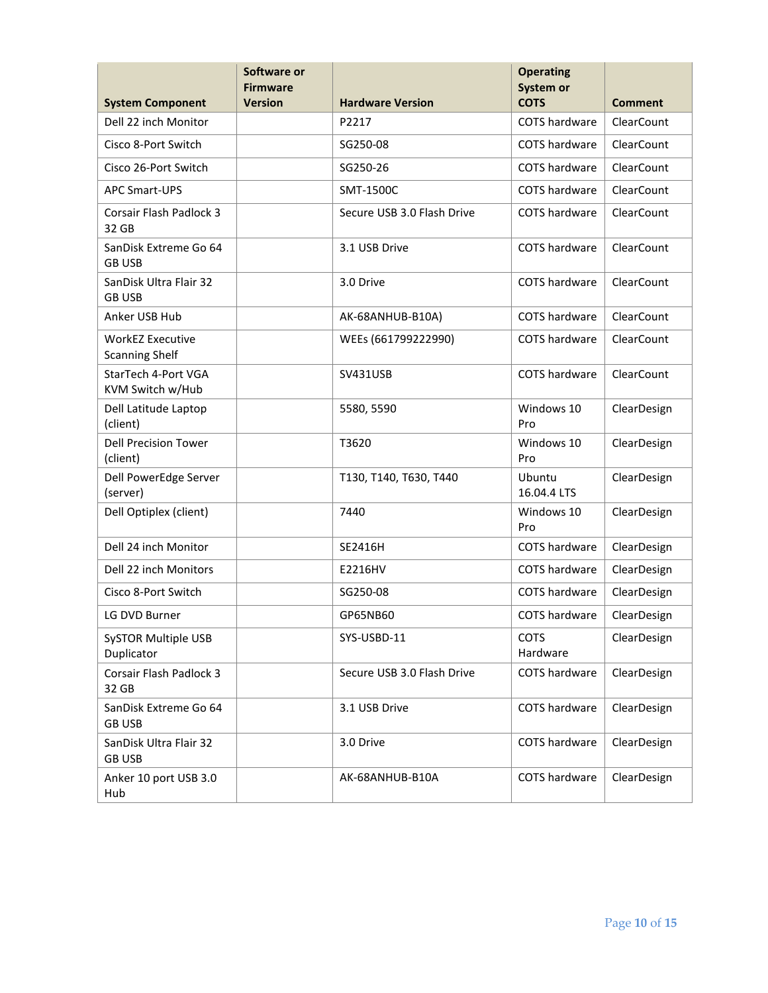|                                                  | Software or<br><b>Firmware</b> |                                  | <b>Operating</b><br>System or |                       |
|--------------------------------------------------|--------------------------------|----------------------------------|-------------------------------|-----------------------|
| <b>System Component</b>                          | <b>Version</b>                 | <b>Hardware Version</b>          | <b>COTS</b>                   | Comment<br>ClearCount |
| Dell 22 inch Monitor                             |                                | P2217                            | <b>COTS</b> hardware          |                       |
| Cisco 8-Port Switch                              |                                | SG250-08                         | COTS hardware                 | ClearCount            |
| Cisco 26-Port Switch                             |                                | SG250-26                         | COTS hardware                 | ClearCount            |
| <b>APC Smart-UPS</b>                             |                                | SMT-1500C                        | COTS hardware                 | ClearCount            |
| <b>Corsair Flash Padlock 3</b><br>32 GB          |                                | Secure USB 3.0 Flash Drive       | <b>COTS</b> hardware          | ClearCount            |
| SanDisk Extreme Go 64<br><b>GB USB</b>           |                                | 3.1 USB Drive                    | COTS hardware                 | ClearCount            |
| SanDisk Ultra Flair 32<br><b>GB USB</b>          |                                | 3.0 Drive                        | COTS hardware                 | ClearCount            |
| Anker USB Hub                                    |                                | AK-68ANHUB-B10A)                 | <b>COTS</b> hardware          | ClearCount            |
| <b>WorkEZ Executive</b><br><b>Scanning Shelf</b> |                                | WEEs (661799222990)              | COTS hardware                 | <b>ClearCount</b>     |
| StarTech 4-Port VGA<br>KVM Switch w/Hub          |                                | <b>SV431USB</b>                  | <b>COTS</b> hardware          | ClearCount            |
| Dell Latitude Laptop<br>(client)                 |                                | 5580, 5590                       | Windows 10<br>Pro             | ClearDesign           |
| <b>Dell Precision Tower</b><br>(client)          |                                | T3620                            | Windows 10<br>Pro             | ClearDesign           |
| Dell PowerEdge Server<br>(server)                |                                | T130, T140, T630, T440           | Ubuntu<br>16.04.4 LTS         | ClearDesign           |
| Dell Optiplex (client)                           |                                | 7440                             | Windows 10<br>Pro             |                       |
| Dell 24 inch Monitor                             |                                | SE2416H                          | COTS hardware                 | ClearDesign           |
| Dell 22 inch Monitors                            |                                | E2216HV                          | COTS hardware                 | ClearDesign           |
| Cisco 8-Port Switch                              |                                | SG250-08                         | COTS hardware                 | ClearDesign           |
| LG DVD Burner                                    |                                | GP65NB60                         | COTS hardware                 | ClearDesign           |
| <b>SySTOR Multiple USB</b><br>Duplicator         |                                | SYS-USBD-11                      | <b>COTS</b><br>Hardware       | ClearDesign           |
| Corsair Flash Padlock 3<br>32 GB                 |                                | Secure USB 3.0 Flash Drive       | COTS hardware<br>ClearDesign  |                       |
| SanDisk Extreme Go 64<br><b>GB USB</b>           |                                | 3.1 USB Drive                    | COTS hardware                 | ClearDesign           |
| SanDisk Ultra Flair 32<br><b>GB USB</b>          |                                | COTS hardware<br>3.0 Drive       |                               | ClearDesign           |
| Anker 10 port USB 3.0<br>Hub                     |                                | COTS hardware<br>AK-68ANHUB-B10A |                               | ClearDesign           |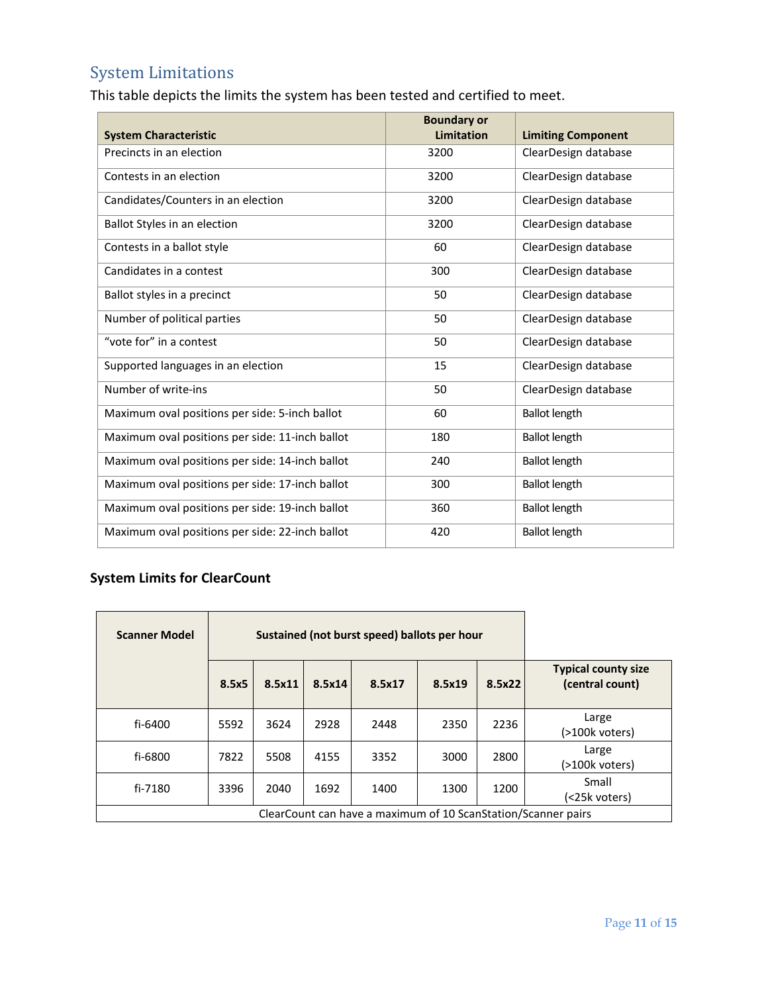# System Limitations

This table depicts the limits the system has been tested and certified to meet.

| <b>System Characteristic</b>                    | <b>Boundary or</b><br>Limitation | <b>Limiting Component</b> |
|-------------------------------------------------|----------------------------------|---------------------------|
| Precincts in an election                        | 3200                             | ClearDesign database      |
| Contests in an election                         | 3200                             | ClearDesign database      |
| Candidates/Counters in an election              | 3200                             | ClearDesign database      |
| Ballot Styles in an election                    | 3200                             | ClearDesign database      |
| Contests in a ballot style                      | 60                               | ClearDesign database      |
| Candidates in a contest                         | 300                              | ClearDesign database      |
| Ballot styles in a precinct                     | 50                               | ClearDesign database      |
| Number of political parties                     | 50                               | ClearDesign database      |
| "vote for" in a contest                         | 50                               | ClearDesign database      |
| Supported languages in an election              | 15                               | ClearDesign database      |
| Number of write-ins                             | 50                               | ClearDesign database      |
| Maximum oval positions per side: 5-inch ballot  | 60                               | <b>Ballot length</b>      |
| Maximum oval positions per side: 11-inch ballot | 180                              | <b>Ballot length</b>      |
| Maximum oval positions per side: 14-inch ballot | 240                              | <b>Ballot length</b>      |
| Maximum oval positions per side: 17-inch ballot | 300                              | <b>Ballot length</b>      |
| Maximum oval positions per side: 19-inch ballot | 360                              | <b>Ballot length</b>      |
| Maximum oval positions per side: 22-inch ballot | 420                              | <b>Ballot length</b>      |

#### **System Limits for ClearCount**

| Sustained (not burst speed) ballots per hour<br><b>Scanner Model</b> |       |        |        |        |        |        |                                               |
|----------------------------------------------------------------------|-------|--------|--------|--------|--------|--------|-----------------------------------------------|
|                                                                      | 8.5x5 | 8.5x11 | 8.5x14 | 8.5x17 | 8.5x19 | 8.5x22 | <b>Typical county size</b><br>(central count) |
| fi-6400                                                              | 5592  | 3624   | 2928   | 2448   | 2350   | 2236   | Large<br>(>100k voters)                       |
| fi-6800                                                              | 7822  | 5508   | 4155   | 3352   | 3000   | 2800   | Large<br>(>100k voters)                       |
| fi-7180                                                              | 3396  | 2040   | 1692   | 1400   | 1300   | 1200   | Small<br>(<25k voters)                        |
| ClearCount can have a maximum of 10 ScanStation/Scanner pairs        |       |        |        |        |        |        |                                               |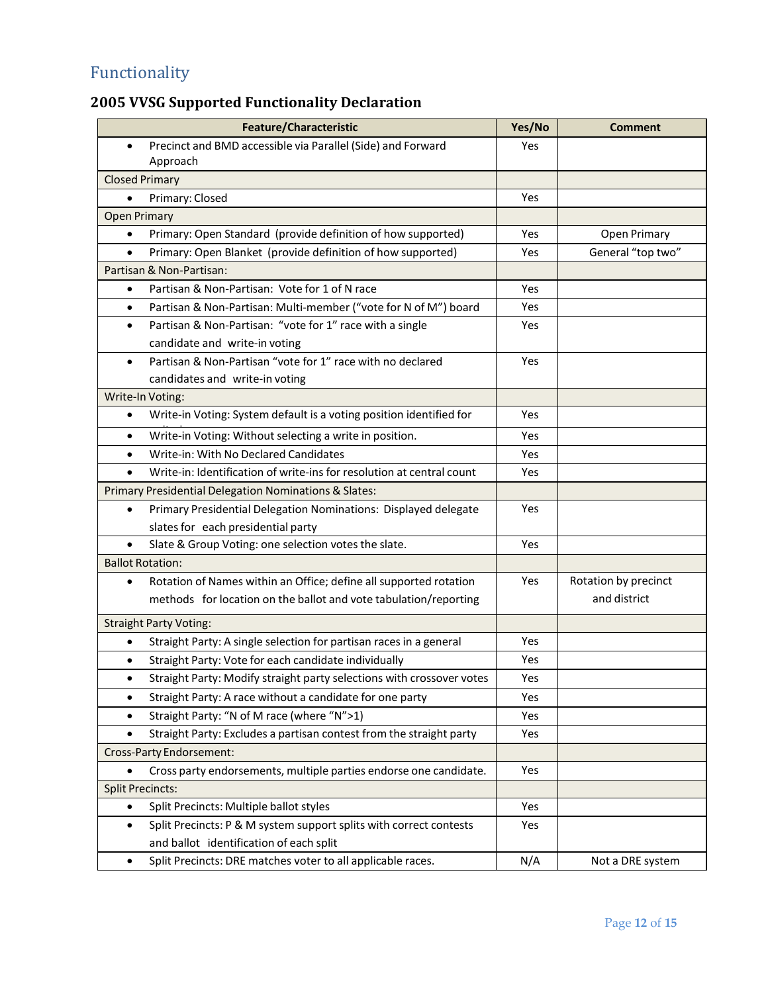# Functionality

# **2005 VVSG Supported Functionality Declaration**

| <b>Feature/Characteristic</b>                                                      | Yes/No | <b>Comment</b>       |
|------------------------------------------------------------------------------------|--------|----------------------|
| Precinct and BMD accessible via Parallel (Side) and Forward<br>$\bullet$           | Yes    |                      |
| Approach                                                                           |        |                      |
| <b>Closed Primary</b>                                                              |        |                      |
| Primary: Closed<br>$\bullet$                                                       | Yes    |                      |
| <b>Open Primary</b>                                                                |        |                      |
| Primary: Open Standard (provide definition of how supported)<br>$\bullet$          | Yes    | Open Primary         |
| Primary: Open Blanket (provide definition of how supported)<br>$\bullet$           | Yes    | General "top two"    |
| Partisan & Non-Partisan:                                                           |        |                      |
| Partisan & Non-Partisan: Vote for 1 of N race<br>$\bullet$                         | Yes    |                      |
| Partisan & Non-Partisan: Multi-member ("vote for N of M") board<br>$\bullet$       | Yes    |                      |
| Partisan & Non-Partisan: "vote for 1" race with a single<br>$\bullet$              | Yes    |                      |
| candidate and write-in voting                                                      |        |                      |
| Partisan & Non-Partisan "vote for 1" race with no declared<br>$\bullet$            | Yes    |                      |
| candidates and write-in voting                                                     |        |                      |
| Write-In Voting:                                                                   |        |                      |
| Write-in Voting: System default is a voting position identified for<br>$\bullet$   | Yes    |                      |
| Write-in Voting: Without selecting a write in position.<br>$\bullet$               | Yes    |                      |
| Write-in: With No Declared Candidates<br>$\bullet$                                 | Yes    |                      |
| Write-in: Identification of write-ins for resolution at central count<br>$\bullet$ | Yes    |                      |
| Primary Presidential Delegation Nominations & Slates:                              |        |                      |
| Primary Presidential Delegation Nominations: Displayed delegate<br>$\bullet$       | Yes    |                      |
| slates for each presidential party                                                 |        |                      |
| Slate & Group Voting: one selection votes the slate.<br>$\bullet$                  | Yes    |                      |
| <b>Ballot Rotation:</b>                                                            |        |                      |
| Rotation of Names within an Office; define all supported rotation<br>$\bullet$     | Yes    | Rotation by precinct |
| methods for location on the ballot and vote tabulation/reporting                   |        | and district         |
| <b>Straight Party Voting:</b>                                                      |        |                      |
| Straight Party: A single selection for partisan races in a general<br>$\bullet$    | Yes    |                      |
| Straight Party: Vote for each candidate individually                               | Yes    |                      |
| Straight Party: Modify straight party selections with crossover votes              | Yes    |                      |
| Straight Party: A race without a candidate for one party<br>٠                      | Yes    |                      |
| Straight Party: "N of M race (where "N">1)<br>$\bullet$                            | Yes    |                      |
| Straight Party: Excludes a partisan contest from the straight party<br>$\bullet$   | Yes    |                      |
| Cross-Party Endorsement:                                                           |        |                      |
| Cross party endorsements, multiple parties endorse one candidate.                  | Yes    |                      |
| <b>Split Precincts:</b>                                                            |        |                      |
| Split Precincts: Multiple ballot styles<br>$\bullet$                               | Yes    |                      |
| Split Precincts: P & M system support splits with correct contests<br>$\bullet$    | Yes    |                      |
| and ballot identification of each split                                            |        |                      |
| Split Precincts: DRE matches voter to all applicable races.<br>$\bullet$           | N/A    | Not a DRE system     |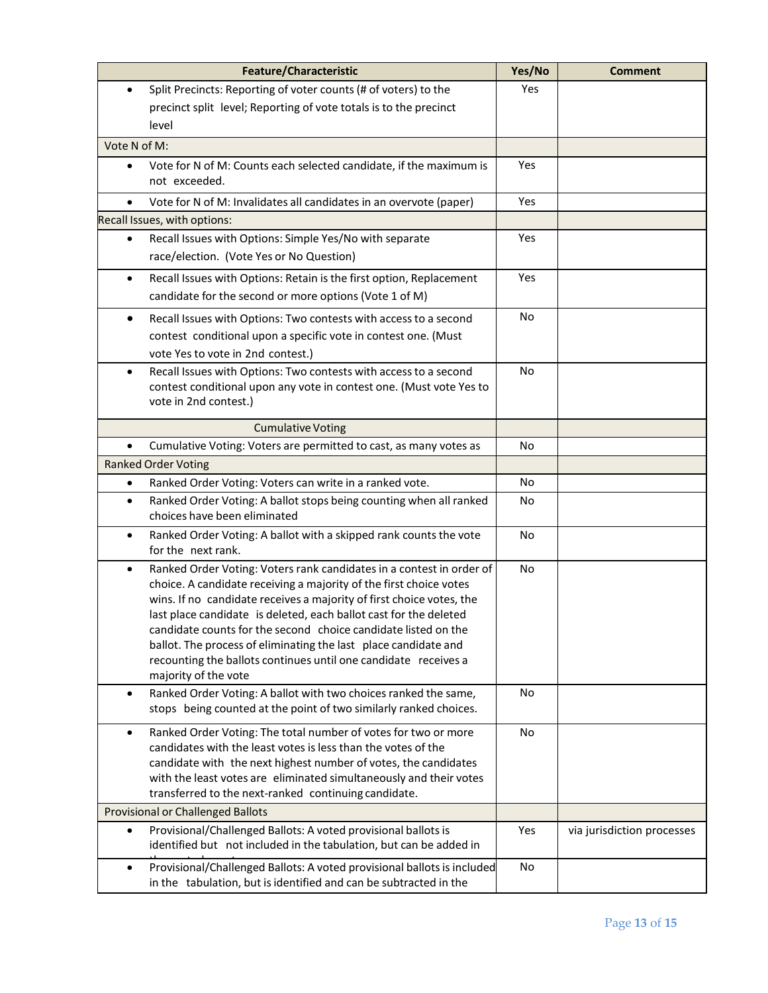|              | <b>Feature/Characteristic</b>                                                                                                                | Yes/No    | <b>Comment</b>             |
|--------------|----------------------------------------------------------------------------------------------------------------------------------------------|-----------|----------------------------|
| $\bullet$    | Split Precincts: Reporting of voter counts (# of voters) to the                                                                              | Yes       |                            |
|              | precinct split level; Reporting of vote totals is to the precinct                                                                            |           |                            |
|              | level                                                                                                                                        |           |                            |
| Vote N of M: |                                                                                                                                              |           |                            |
| $\bullet$    | Vote for N of M: Counts each selected candidate, if the maximum is<br>not exceeded.                                                          | Yes       |                            |
| $\bullet$    | Vote for N of M: Invalidates all candidates in an overvote (paper)                                                                           | Yes       |                            |
|              | Recall Issues, with options:                                                                                                                 |           |                            |
| $\bullet$    | Recall Issues with Options: Simple Yes/No with separate                                                                                      | Yes       |                            |
|              | race/election. (Vote Yes or No Question)                                                                                                     |           |                            |
| $\bullet$    | Recall Issues with Options: Retain is the first option, Replacement                                                                          | Yes       |                            |
|              | candidate for the second or more options (Vote 1 of M)                                                                                       |           |                            |
| ٠            | Recall Issues with Options: Two contests with access to a second                                                                             | No        |                            |
|              | contest conditional upon a specific vote in contest one. (Must                                                                               |           |                            |
|              | vote Yes to vote in 2nd contest.)                                                                                                            |           |                            |
| $\bullet$    | Recall Issues with Options: Two contests with access to a second                                                                             | No        |                            |
|              | contest conditional upon any vote in contest one. (Must vote Yes to                                                                          |           |                            |
|              | vote in 2nd contest.)                                                                                                                        |           |                            |
|              | <b>Cumulative Voting</b>                                                                                                                     |           |                            |
| $\bullet$    | Cumulative Voting: Voters are permitted to cast, as many votes as                                                                            | No        |                            |
|              | <b>Ranked Order Voting</b>                                                                                                                   |           |                            |
| ٠            | Ranked Order Voting: Voters can write in a ranked vote.                                                                                      | No        |                            |
| $\bullet$    | Ranked Order Voting: A ballot stops being counting when all ranked                                                                           | No        |                            |
|              | choices have been eliminated                                                                                                                 |           |                            |
| $\bullet$    | Ranked Order Voting: A ballot with a skipped rank counts the vote                                                                            | <b>No</b> |                            |
|              | for the next rank.                                                                                                                           |           |                            |
| $\bullet$    | Ranked Order Voting: Voters rank candidates in a contest in order of                                                                         | No        |                            |
|              | choice. A candidate receiving a majority of the first choice votes<br>wins. If no candidate receives a majority of first choice votes, the   |           |                            |
|              | last place candidate is deleted, each ballot cast for the deleted                                                                            |           |                            |
|              | candidate counts for the second choice candidate listed on the                                                                               |           |                            |
|              | ballot. The process of eliminating the last place candidate and                                                                              |           |                            |
|              | recounting the ballots continues until one candidate receives a                                                                              |           |                            |
|              | majority of the vote                                                                                                                         |           |                            |
| $\bullet$    | Ranked Order Voting: A ballot with two choices ranked the same,<br>stops being counted at the point of two similarly ranked choices.         | No        |                            |
| ٠            | Ranked Order Voting: The total number of votes for two or more                                                                               | No        |                            |
|              | candidates with the least votes is less than the votes of the                                                                                |           |                            |
|              | candidate with the next highest number of votes, the candidates                                                                              |           |                            |
|              | with the least votes are eliminated simultaneously and their votes<br>transferred to the next-ranked continuing candidate.                   |           |                            |
|              | <b>Provisional or Challenged Ballots</b>                                                                                                     |           |                            |
| $\bullet$    | Provisional/Challenged Ballots: A voted provisional ballots is                                                                               | Yes       | via jurisdiction processes |
|              | identified but not included in the tabulation, but can be added in                                                                           |           |                            |
| $\bullet$    | Provisional/Challenged Ballots: A voted provisional ballots is included<br>in the tabulation, but is identified and can be subtracted in the | No        |                            |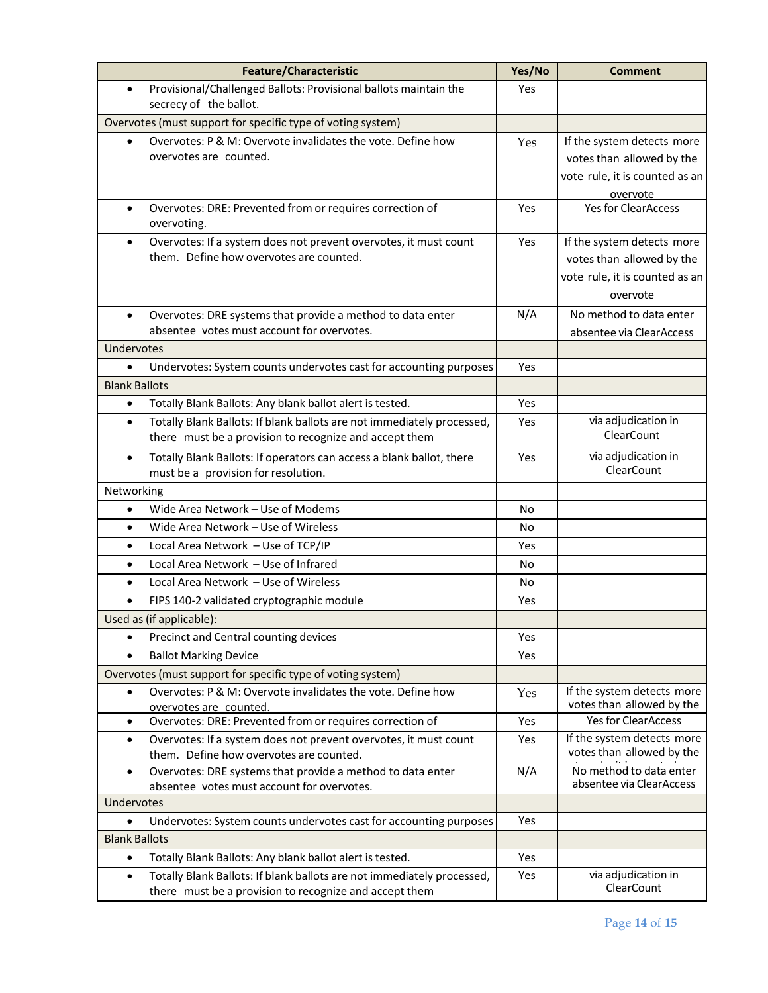| <b>Feature/Characteristic</b>                                                                                            | Yes/No     | <b>Comment</b>                                          |
|--------------------------------------------------------------------------------------------------------------------------|------------|---------------------------------------------------------|
| Provisional/Challenged Ballots: Provisional ballots maintain the<br>$\bullet$<br>secrecy of the ballot.                  | Yes        |                                                         |
| Overvotes (must support for specific type of voting system)                                                              |            |                                                         |
| Overvotes: P & M: Overvote invalidates the vote. Define how                                                              | Yes        | If the system detects more                              |
| overvotes are counted.                                                                                                   |            | votes than allowed by the                               |
|                                                                                                                          |            | vote rule, it is counted as an                          |
|                                                                                                                          |            | overvote                                                |
| Overvotes: DRE: Prevented from or requires correction of<br>$\bullet$<br>overvoting.                                     | Yes        | <b>Yes for ClearAccess</b>                              |
| Overvotes: If a system does not prevent overvotes, it must count<br>$\bullet$                                            | <b>Yes</b> | If the system detects more                              |
| them. Define how overvotes are counted.                                                                                  |            | votes than allowed by the                               |
|                                                                                                                          |            | vote rule, it is counted as an                          |
|                                                                                                                          |            | overvote                                                |
| Overvotes: DRE systems that provide a method to data enter<br>$\bullet$                                                  | N/A        | No method to data enter                                 |
| absentee votes must account for overvotes.                                                                               |            | absentee via ClearAccess                                |
| Undervotes                                                                                                               |            |                                                         |
| Undervotes: System counts undervotes cast for accounting purposes<br>$\bullet$                                           | Yes        |                                                         |
| <b>Blank Ballots</b>                                                                                                     |            |                                                         |
| Totally Blank Ballots: Any blank ballot alert is tested.<br>$\bullet$                                                    | Yes        |                                                         |
| Totally Blank Ballots: If blank ballots are not immediately processed,<br>$\bullet$                                      | <b>Yes</b> | via adjudication in                                     |
| there must be a provision to recognize and accept them                                                                   |            | <b>ClearCount</b>                                       |
| Totally Blank Ballots: If operators can access a blank ballot, there<br>$\bullet$<br>must be a provision for resolution. | Yes        | via adjudication in<br>ClearCount                       |
| Networking                                                                                                               |            |                                                         |
| Wide Area Network - Use of Modems<br>$\bullet$                                                                           | No         |                                                         |
| Wide Area Network - Use of Wireless<br>$\bullet$                                                                         | No         |                                                         |
| Local Area Network - Use of TCP/IP<br>$\bullet$                                                                          | Yes        |                                                         |
| Local Area Network - Use of Infrared<br>$\bullet$                                                                        | No         |                                                         |
| Local Area Network - Use of Wireless<br>$\bullet$                                                                        | No         |                                                         |
| FIPS 140-2 validated cryptographic module<br>$\bullet$                                                                   | Yes        |                                                         |
| Used as (if applicable):                                                                                                 |            |                                                         |
| Precinct and Central counting devices<br>$\bullet$                                                                       | Yes        |                                                         |
|                                                                                                                          |            |                                                         |
| <b>Ballot Marking Device</b><br>$\bullet$                                                                                | Yes        |                                                         |
| Overvotes (must support for specific type of voting system)                                                              |            |                                                         |
| Overvotes: P & M: Overvote invalidates the vote. Define how<br>$\bullet$                                                 | Yes        | If the system detects more<br>votes than allowed by the |
| overvotes are counted.<br>Overvotes: DRE: Prevented from or requires correction of<br>$\bullet$                          | Yes        | <b>Yes for ClearAccess</b>                              |
| Overvotes: If a system does not prevent overvotes, it must count<br>$\bullet$                                            | Yes        | If the system detects more                              |
| them. Define how overvotes are counted.                                                                                  |            | votes than allowed by the                               |
| Overvotes: DRE systems that provide a method to data enter<br>$\bullet$                                                  | N/A        | No method to data enter                                 |
| absentee votes must account for overvotes.                                                                               |            | absentee via ClearAccess                                |
| Undervotes                                                                                                               |            |                                                         |
| Undervotes: System counts undervotes cast for accounting purposes                                                        | Yes        |                                                         |
| <b>Blank Ballots</b>                                                                                                     |            |                                                         |
| Totally Blank Ballots: Any blank ballot alert is tested.<br>$\bullet$                                                    | Yes        |                                                         |
| Totally Blank Ballots: If blank ballots are not immediately processed,<br>$\bullet$                                      | Yes        | via adjudication in                                     |
| there must be a provision to recognize and accept them                                                                   |            | ClearCount                                              |